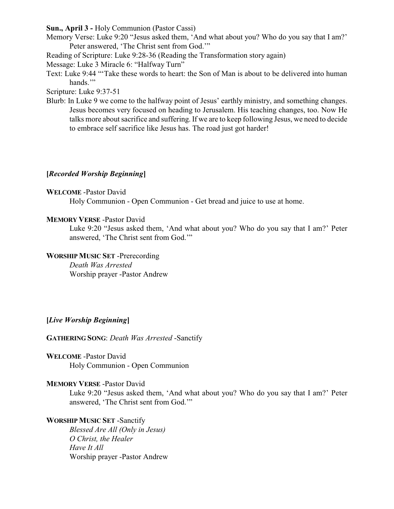**Sun., April 3 -** Holy Communion (Pastor Cassi)

- Memory Verse: Luke 9:20 "Jesus asked them, 'And what about you? Who do you say that I am?' Peter answered, 'The Christ sent from God.'"
- Reading of Scripture: Luke 9:28-36 (Reading the Transformation story again)

Message: Luke 3 Miracle 6: "Halfway Turn"

Text: Luke 9:44 "'Take these words to heart: the Son of Man is about to be delivered into human hands."

Scripture: Luke 9:37-51

Blurb: In Luke 9 we come to the halfway point of Jesus' earthly ministry, and something changes. Jesus becomes very focused on heading to Jerusalem. His teaching changes, too. Now He talks more about sacrifice and suffering. If we are to keep following Jesus, we need to decide to embrace self sacrifice like Jesus has. The road just got harder!

# **[***Recorded Worship Beginning***]**

## **WELCOME** -Pastor David

Holy Communion - Open Communion - Get bread and juice to use at home.

## **MEMORY VERSE** -Pastor David

Luke 9:20 "Jesus asked them, 'And what about you? Who do you say that I am?' Peter answered, 'The Christ sent from God.'"

# **WORSHIP MUSIC SET** -Prerecording

*Death Was Arrested* Worship prayer -Pastor Andrew

# **[***Live Worship Beginning***]**

**GATHERING SONG**: *Death Was Arrested* -Sanctify

**WELCOME** -Pastor David Holy Communion - Open Communion

# **MEMORY VERSE** -Pastor David

Luke 9:20 "Jesus asked them, 'And what about you? Who do you say that I am?' Peter answered, 'The Christ sent from God.'"

# **WORSHIP MUSIC SET** -Sanctify

*Blessed Are All (Only in Jesus) O Christ, the Healer Have It All* Worship prayer -Pastor Andrew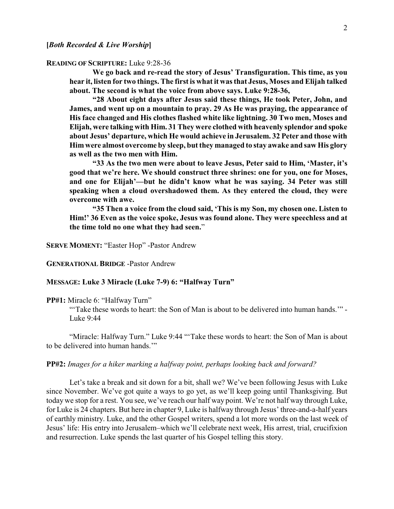#### **READING OF SCRIPTURE:** Luke 9:28-36

**We go back and re-read the story of Jesus' Transfiguration. This time, as you hear it, listen for two things. The first is what it was that Jesus, Moses and Elijah talked about. The second is what the voice from above says. Luke 9:28-36,**

**"28 About eight days after Jesus said these things, He took Peter, John, and James, and went up on a mountain to pray. 29 As He was praying, the appearance of His face changed and His clothes flashed white like lightning. 30 Two men, Moses and Elijah, were talking with Him. 31 They were clothed with heavenly splendor and spoke about Jesus' departure, which He would achieve in Jerusalem. 32 Peter and those with Him were almost overcome by sleep, but they managed to stay awake and saw His glory as well as the two men with Him.**

**"33 As the two men were about to leave Jesus, Peter said to Him, 'Master, it's good that we're here. We should construct three shrines: one for you, one for Moses, and one for Elijah'—but he didn't know what he was saying. 34 Peter was still speaking when a cloud overshadowed them. As they entered the cloud, they were overcome with awe.**

**"35 Then a voice from the cloud said, 'This is my Son, my chosen one. Listen to Him!' 36 Even as the voice spoke, Jesus was found alone. They were speechless and at the time told no one what they had seen.**"

**SERVE MOMENT:** "Easter Hop" -Pastor Andrew

#### **GENERATIONAL BRIDGE** -Pastor Andrew

#### **MESSAGE: Luke 3 Miracle (Luke 7-9) 6: "Halfway Turn"**

**PP#1:** Miracle 6: "Halfway Turn"

"'Take these words to heart: the Son of Man is about to be delivered into human hands.'" - Luke 9:44

"Miracle: Halfway Turn." Luke 9:44 "'Take these words to heart: the Son of Man is about to be delivered into human hands.'"

### **PP#2:** *Images for a hiker marking a halfway point, perhaps looking back and forward?*

Let's take a break and sit down for a bit, shall we? We've been following Jesus with Luke since November. We've got quite a ways to go yet, as we'll keep going until Thanksgiving. But today we stop for a rest. You see, we've reach our half way point. We're not half way through Luke, for Luke is 24 chapters. But here in chapter 9, Luke is halfway through Jesus' three-and-a-half years of earthly ministry. Luke, and the other Gospel writers, spend a lot more words on the last week of Jesus' life: His entry into Jerusalem–which we'll celebrate next week, His arrest, trial, crucifixion and resurrection. Luke spends the last quarter of his Gospel telling this story.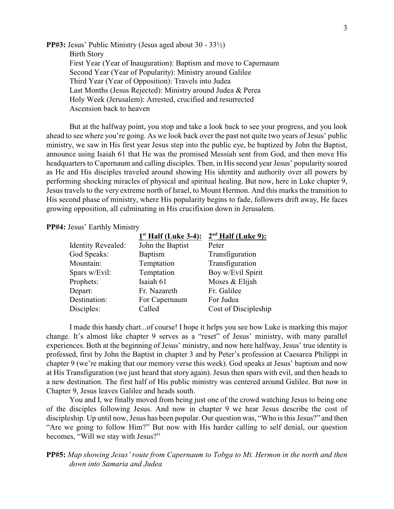**PP#3:** Jesus' Public Ministry (Jesus aged about 30 - 33½) Birth Story First Year (Year of Inauguration): Baptism and move to Capernaum Second Year (Year of Popularity): Ministry around Galilee Third Year (Year of Opposition): Travels into Judea Last Months (Jesus Rejected): Ministry around Judea & Perea Holy Week (Jerusalem): Arrested, crucified and resurrected Ascension back to heaven

But at the halfway point, you stop and take a look back to see your progress, and you look ahead to see where you're going. As we look back over the past not quite two years of Jesus' public ministry, we saw in His first year Jesus step into the public eye, be baptized by John the Baptist, announce using Isaiah 61 that He was the promised Messiah sent from God, and then move His headquarters to Capernaum and calling disciples. Then, in His second year Jesus' popularity soared as He and His disciples traveled around showing His identity and authority over all powers by performing shocking miracles of physical and spiritual healing. But now, here in Luke chapter 9, Jesus travels to the very extreme north of Israel, to Mount Hermon. And this marks the transition to His second phase of ministry, where His popularity begins to fade, followers drift away, He faces growing opposition, all culminating in His crucifixion down in Jerusalem.

### **PP#4:** Jesus' Earthly Ministry

| $1st$ Half (Luke 3-4): | $2nd$ Half (Luke 9): |
|------------------------|----------------------|
| John the Baptist       | Peter                |
| <b>Baptism</b>         | Transfiguration      |
| Temptation             | Transfiguration      |
| Temptation             | Boy w/Evil Spirit    |
| Isaiah 61              | Moses & Elijah       |
| Fr. Nazareth           | Fr. Galilee          |
| For Capernaum          | For Judea            |
| Called                 | Cost of Discipleship |
|                        |                      |

I made this handy chart...of course! I hope it helps you see how Luke is marking this major change. It's almost like chapter 9 serves as a "reset" of Jesus' ministry, with many parallel experiences. Both at the beginning of Jesus' ministry, and now here halfway, Jesus' true identity is professed, first by John the Baptist in chapter 3 and by Peter's profession at Caesarea Philippi in chapter 9 (we're making that our memory verse this week). God speaks at Jesus' baptism and now at His Transfiguration (we just heard that story again). Jesus then spars with evil, and then heads to a new destination. The first half of His public ministry was centered around Galilee. But now in Chapter 9, Jesus leaves Galilee and heads south.

You and I, we finally moved from being just one of the crowd watching Jesus to being one of the disciples following Jesus. And now in chapter 9 we hear Jesus describe the cost of discipleship. Up until now, Jesus has been popular. Our question was, "Who is this Jesus?" and then "Are we going to follow Him?" But now with His harder calling to self denial, our question becomes, "Will we stay with Jesus?"

# **PP#5:** *Map showing Jesus' route from Capernaum to Tobga to Mt. Hermon in the north and then down into Samaria and Judea*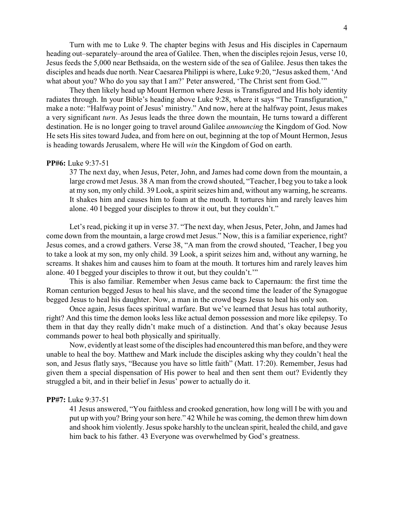Turn with me to Luke 9. The chapter begins with Jesus and His disciples in Capernaum heading out–separately–around the area of Galilee. Then, when the disciples rejoin Jesus, verse 10, Jesus feeds the 5,000 near Bethsaida, on the western side of the sea of Galilee. Jesus then takes the disciples and heads due north. Near Caesarea Philippi is where, Luke 9:20, "Jesus asked them, 'And what about you? Who do you say that I am?' Peter answered, 'The Christ sent from God.'"

They then likely head up Mount Hermon where Jesus is Transfigured and His holy identity radiates through. In your Bible's heading above Luke 9:28, where it says "The Transfiguration," make a note: "Halfway point of Jesus' ministry." And now, here at the halfway point, Jesus makes a very significant *turn*. As Jesus leads the three down the mountain, He turns toward a different destination. He is no longer going to travel around Galilee *announcing* the Kingdom of God. Now He sets His sites toward Judea, and from here on out, beginning at the top of Mount Hermon, Jesus is heading towards Jerusalem, where He will *win* the Kingdom of God on earth.

#### **PP#6:** Luke 9:37-51

37 The next day, when Jesus, Peter, John, and James had come down from the mountain, a large crowd met Jesus. 38 A man from the crowd shouted, "Teacher, I beg you to take a look at my son, my only child. 39 Look, a spirit seizes him and, without any warning, he screams. It shakes him and causes him to foam at the mouth. It tortures him and rarely leaves him alone. 40 I begged your disciples to throw it out, but they couldn't."

Let's read, picking it up in verse 37. "The next day, when Jesus, Peter, John, and James had come down from the mountain, a large crowd met Jesus." Now, this is a familiar experience, right? Jesus comes, and a crowd gathers. Verse 38, "A man from the crowd shouted, 'Teacher, I beg you to take a look at my son, my only child. 39 Look, a spirit seizes him and, without any warning, he screams. It shakes him and causes him to foam at the mouth. It tortures him and rarely leaves him alone. 40 I begged your disciples to throw it out, but they couldn't.'"

This is also familiar. Remember when Jesus came back to Capernaum: the first time the Roman centurion begged Jesus to heal his slave, and the second time the leader of the Synagogue begged Jesus to heal his daughter. Now, a man in the crowd begs Jesus to heal his only son.

Once again, Jesus faces spiritual warfare. But we've learned that Jesus has total authority, right? And this time the demon looks less like actual demon possession and more like epilepsy. To them in that day they really didn't make much of a distinction. And that's okay because Jesus commands power to heal both physically and spiritually.

Now, evidently at least some of the disciples had encountered this man before, and theywere unable to heal the boy. Matthew and Mark include the disciples asking why they couldn't heal the son, and Jesus flatly says, "Because you have so little faith" (Matt. 17:20). Remember, Jesus had given them a special dispensation of His power to heal and then sent them out? Evidently they struggled a bit, and in their belief in Jesus' power to actually do it.

## **PP#7:** Luke 9:37-51

41 Jesus answered, "You faithless and crooked generation, how long will I be with you and put up with you? Bring your son here." 42 While he was coming, the demon threw him down and shook him violently. Jesus spoke harshly to the unclean spirit, healed the child, and gave him back to his father. 43 Everyone was overwhelmed by God's greatness.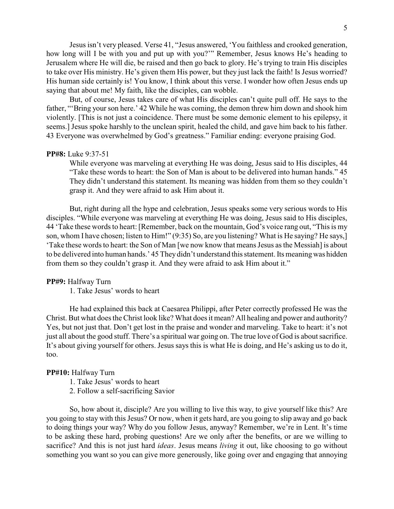Jesus isn't very pleased. Verse 41, "Jesus answered, 'You faithless and crooked generation, how long will I be with you and put up with you?'" Remember, Jesus knows He's heading to Jerusalem where He will die, be raised and then go back to glory. He's trying to train His disciples to take over His ministry. He's given them His power, but they just lack the faith! Is Jesus worried? His human side certainly is! You know, I think about this verse. I wonder how often Jesus ends up saying that about me! My faith, like the disciples, can wobble.

But, of course, Jesus takes care of what His disciples can't quite pull off. He says to the father, "'Bring your son here.' 42 While he was coming, the demon threw him down and shook him violently. [This is not just a coincidence. There must be some demonic element to his epilepsy, it seems.] Jesus spoke harshly to the unclean spirit, healed the child, and gave him back to his father. 43 Everyone was overwhelmed by God's greatness." Familiar ending: everyone praising God.

#### **PP#8:** Luke 9:37-51

While everyone was marveling at everything He was doing, Jesus said to His disciples, 44 "Take these words to heart: the Son of Man is about to be delivered into human hands." 45 They didn't understand this statement. Its meaning was hidden from them so they couldn't grasp it. And they were afraid to ask Him about it.

But, right during all the hype and celebration, Jesus speaks some very serious words to His disciples. "While everyone was marveling at everything He was doing, Jesus said to His disciples, 44 'Take these words to heart: [Remember, back on the mountain, God's voice rang out, "This is my son, whom I have chosen; listen to Him!" (9:35) So, are you listening? What is He saying? He says, [ 'Take these words to heart: the Son of Man [we now know that means Jesus as the Messiah] is about to be delivered into human hands.' 45 They didn't understand this statement. Its meaningwas hidden from them so they couldn't grasp it. And they were afraid to ask Him about it."

#### **PP#9:** Halfway Turn

1. Take Jesus' words to heart

He had explained this back at Caesarea Philippi, after Peter correctly professed He was the Christ. But what does the Christ look like? What does it mean? All healing and power and authority? Yes, but not just that. Don't get lost in the praise and wonder and marveling. Take to heart: it's not just all about the good stuff. There's a spiritual war going on. The true love of God is about sacrifice. It's about giving yourself for others. Jesus says this is what He is doing, and He's asking us to do it, too.

#### **PP#10:** Halfway Turn

- 1. Take Jesus' words to heart
- 2. Follow a self-sacrificing Savior

So, how about it, disciple? Are you willing to live this way, to give yourself like this? Are you going to stay with this Jesus? Or now, when it gets hard, are you going to slip away and go back to doing things your way? Why do you follow Jesus, anyway? Remember, we're in Lent. It's time to be asking these hard, probing questions! Are we only after the benefits, or are we willing to sacrifice? And this is not just hard *ideas*. Jesus means *living* it out, like choosing to go without something you want so you can give more generously, like going over and engaging that annoying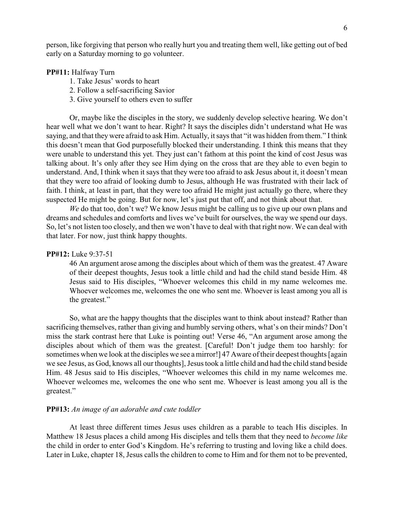person, like forgiving that person who really hurt you and treating them well, like getting out of bed early on a Saturday morning to go volunteer.

## **PP#11:** Halfway Turn

- 1. Take Jesus' words to heart
- 2. Follow a self-sacrificing Savior
- 3. Give yourself to others even to suffer

Or, maybe like the disciples in the story, we suddenly develop selective hearing. We don't hear well what we don't want to hear. Right? It says the disciples didn't understand what He was saying, and that they were afraid to ask Him. Actually, it says that "it was hidden from them." I think this doesn't mean that God purposefully blocked their understanding. I think this means that they were unable to understand this yet. They just can't fathom at this point the kind of cost Jesus was talking about. It's only after they see Him dying on the cross that are they able to even begin to understand. And, I think when it says that they were too afraid to ask Jesus about it, it doesn't mean that they were too afraid of looking dumb to Jesus, although He was frustrated with their lack of faith. I think, at least in part, that they were too afraid He might just actually go there, where they suspected He might be going. But for now, let's just put that off, and not think about that.

*We* do that too, don't we? We know Jesus might be calling us to give up our own plans and dreams and schedules and comforts and lives we've built for ourselves, the way we spend our days. So, let's not listen too closely, and then we won't have to deal with that right now. We can deal with that later. For now, just think happy thoughts.

## **PP#12:** Luke 9:37-51

46 An argument arose among the disciples about which of them was the greatest. 47 Aware of their deepest thoughts, Jesus took a little child and had the child stand beside Him. 48 Jesus said to His disciples, "Whoever welcomes this child in my name welcomes me. Whoever welcomes me, welcomes the one who sent me. Whoever is least among you all is the greatest."

So, what are the happy thoughts that the disciples want to think about instead? Rather than sacrificing themselves, rather than giving and humbly serving others, what's on their minds? Don't miss the stark contrast here that Luke is pointing out! Verse 46, "An argument arose among the disciples about which of them was the greatest. [Careful! Don't judge them too harshly: for sometimes when we look at the disciples we see a mirror! [47 Aware of their deepest thoughts [again] we see Jesus, as God, knows all our thoughts], Jesus took a little child and had the child stand beside Him. 48 Jesus said to His disciples, "Whoever welcomes this child in my name welcomes me. Whoever welcomes me, welcomes the one who sent me. Whoever is least among you all is the greatest."

#### **PP#13:** *An image of an adorable and cute toddler*

At least three different times Jesus uses children as a parable to teach His disciples. In Matthew 18 Jesus places a child among His disciples and tells them that they need to *become like* the child in order to enter God's Kingdom. He's referring to trusting and loving like a child does. Later in Luke, chapter 18, Jesus calls the children to come to Him and for them not to be prevented,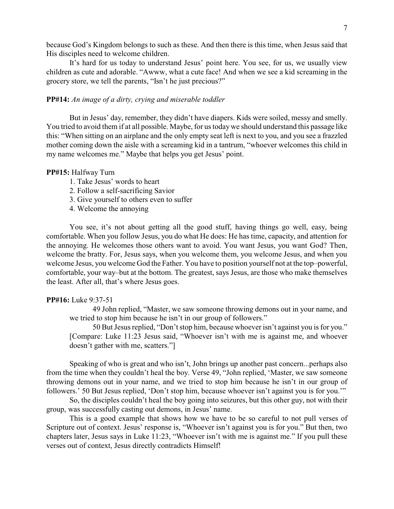because God's Kingdom belongs to such as these. And then there is this time, when Jesus said that His disciples need to welcome children.

It's hard for us today to understand Jesus' point here. You see, for us, we usually view children as cute and adorable. "Awww, what a cute face! And when we see a kid screaming in the grocery store, we tell the parents, "Isn't he just precious?"

### **PP#14:** *An image of a dirty, crying and miserable toddler*

But in Jesus' day, remember, they didn't have diapers. Kids were soiled, messy and smelly. You tried to avoid them if at all possible. Maybe, for us todaywe should understand this passage like this: "When sitting on an airplane and the only empty seat left is next to you, and you see a frazzled mother coming down the aisle with a screaming kid in a tantrum, "whoever welcomes this child in my name welcomes me." Maybe that helps you get Jesus' point.

### **PP#15:** Halfway Turn

- 1. Take Jesus' words to heart
- 2. Follow a self-sacrificing Savior
- 3. Give yourself to others even to suffer
- 4. Welcome the annoying

You see, it's not about getting all the good stuff, having things go well, easy, being comfortable. When you follow Jesus, you do what He does: He has time, capacity, and attention for the annoying. He welcomes those others want to avoid. You want Jesus, you want God? Then, welcome the bratty. For, Jesus says, when you welcome them, you welcome Jesus, and when you welcome Jesus, you welcome God the Father. You have to position yourself not at the top–powerful, comfortable, your way–but at the bottom. The greatest, says Jesus, are those who make themselves the least. After all, that's where Jesus goes.

### **PP#16:** Luke 9:37-51

49 John replied, "Master, we saw someone throwing demons out in your name, and we tried to stop him because he isn't in our group of followers."

50 But Jesus replied, "Don't stop him, because whoever isn't against you is for you." [Compare: Luke 11:23 Jesus said, "Whoever isn't with me is against me, and whoever doesn't gather with me, scatters."]

Speaking of who is great and who isn't, John brings up another past concern...perhaps also from the time when they couldn't heal the boy. Verse 49, "John replied, 'Master, we saw someone throwing demons out in your name, and we tried to stop him because he isn't in our group of followers.' 50 But Jesus replied, 'Don't stop him, because whoever isn't against you is for you.'"

So, the disciples couldn't heal the boy going into seizures, but this other guy, not with their group, was successfully casting out demons, in Jesus' name.

This is a good example that shows how we have to be so careful to not pull verses of Scripture out of context. Jesus' response is, "Whoever isn't against you is for you." But then, two chapters later, Jesus says in Luke 11:23, "Whoever isn't with me is against me." If you pull these verses out of context, Jesus directly contradicts Himself!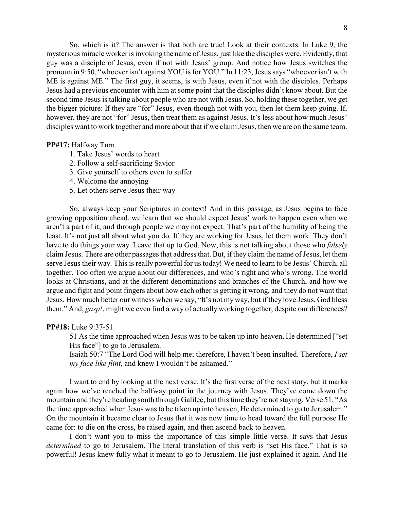So, which is it? The answer is that both are true! Look at their contexts. In Luke 9, the mysterious miracle worker is invoking the name of Jesus, just like the disciples were. Evidently, that guy was a disciple of Jesus, even if not with Jesus' group. And notice how Jesus switches the pronoun in 9:50, "whoever isn't against YOU is for YOU." In 11:23, Jesus says "whoever isn't with ME is against ME." The first guy, it seems, is with Jesus, even if not with the disciples. Perhaps Jesus had a previous encounter with him at some point that the disciples didn't know about. But the second time Jesus is talking about people who are not with Jesus. So, holding these together, we get the bigger picture: If they are "for" Jesus, even though not with you, then let them keep going. If, however, they are not "for" Jesus, then treat them as against Jesus. It's less about how much Jesus' disciples want to work together and more about that if we claim Jesus, then we are on the same team.

## **PP#17:** Halfway Turn

- 1. Take Jesus' words to heart
- 2. Follow a self-sacrificing Savior
- 3. Give yourself to others even to suffer
- 4. Welcome the annoying
- 5. Let others serve Jesus their way

So, always keep your Scriptures in context! And in this passage, as Jesus begins to face growing opposition ahead, we learn that we should expect Jesus' work to happen even when we aren't a part of it, and through people we may not expect. That's part of the humility of being the least. It's not just all about what you do. If they are working for Jesus, let them work. They don't have to do things your way. Leave that up to God. Now, this is not talking about those who *falsely* claim Jesus. There are other passages that address that. But, if they claim the name of Jesus, let them serve Jesus their way. This is really powerful for us today! We need to learn to be Jesus' Church, all together. Too often we argue about our differences, and who's right and who's wrong. The world looks at Christians, and at the different denominations and branches of the Church, and how we argue and fight and point fingers about how each other is getting it wrong, and they do not want that Jesus. How much better our witness when we say, "It's not my way, but if they love Jesus, God bless them." And, *gasp!*, might we even find a way of actually working together, despite our differences?

#### **PP#18:** Luke 9:37-51

51 As the time approached when Jesus was to be taken up into heaven, He determined ["set His face"] to go to Jerusalem.

Isaiah 50:7 "The Lord God will help me; therefore, I haven't been insulted. Therefore, *I set my face like flint*, and knew I wouldn't be ashamed."

I want to end by looking at the next verse. It's the first verse of the next story, but it marks again how we've reached the halfway point in the journey with Jesus. They've come down the mountain and they're heading south through Galilee, but this time they're not staying. Verse 51, "As the time approached when Jesus was to be taken up into heaven, He determined to go to Jerusalem." On the mountain it became clear to Jesus that it was now time to head toward the full purpose He came for: to die on the cross, be raised again, and then ascend back to heaven.

I don't want you to miss the importance of this simple little verse. It says that Jesus *determined* to go to Jerusalem. The literal translation of this verb is "set His face." That is so powerful! Jesus knew fully what it meant to go to Jerusalem. He just explained it again. And He